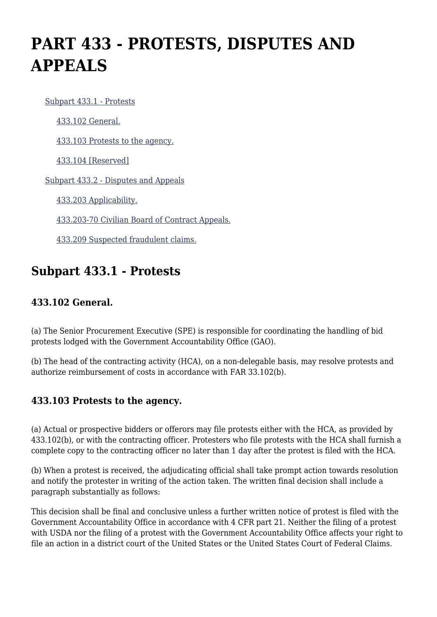# **PART 433 - PROTESTS, DISPUTES AND APPEALS**

[Subpart 433.1 - Protests](https://origin-www.acquisition.gov/%5Brp:link:agar-part-433%5D#Subpart_433_1_T48_40215331)

[433.102 General.](https://origin-www.acquisition.gov/%5Brp:link:agar-part-433%5D#Section_433_102_T48_4021533111)

[433.103 Protests to the agency.](https://origin-www.acquisition.gov/%5Brp:link:agar-part-433%5D#Section_433_103_T48_4021533112)

[433.104 \[Reserved\]](https://origin-www.acquisition.gov/%5Brp:link:agar-part-433%5D#Section_433_104_T48_4021533113)

[Subpart 433.2 - Disputes and Appeals](https://origin-www.acquisition.gov/%5Brp:link:agar-part-433%5D#Subpart_433_2_T48_40215332)

[433.203 Applicability.](https://origin-www.acquisition.gov/%5Brp:link:agar-part-433%5D#Section_433_203_T48_4021533211)

[433.203-70 Civilian Board of Contract Appeals.](https://origin-www.acquisition.gov/%5Brp:link:agar-part-433%5D#Section_433_203_70_T48_4021533212)

[433.209 Suspected fraudulent claims.](https://origin-www.acquisition.gov/%5Brp:link:agar-part-433%5D#Section_433_209_T48_4021533213)

# **Subpart 433.1 - Protests**

### **433.102 General.**

(a) The Senior Procurement Executive (SPE) is responsible for coordinating the handling of bid protests lodged with the Government Accountability Office (GAO).

(b) The head of the contracting activity (HCA), on a non-delegable basis, may resolve protests and authorize reimbursement of costs in accordance with FAR 33.102(b).

## **433.103 Protests to the agency.**

(a) Actual or prospective bidders or offerors may file protests either with the HCA, as provided by 433.102(b), or with the contracting officer. Protesters who file protests with the HCA shall furnish a complete copy to the contracting officer no later than 1 day after the protest is filed with the HCA.

(b) When a protest is received, the adjudicating official shall take prompt action towards resolution and notify the protester in writing of the action taken. The written final decision shall include a paragraph substantially as follows:

This decision shall be final and conclusive unless a further written notice of protest is filed with the Government Accountability Office in accordance with 4 CFR part 21. Neither the filing of a protest with USDA nor the filing of a protest with the Government Accountability Office affects your right to file an action in a district court of the United States or the United States Court of Federal Claims.